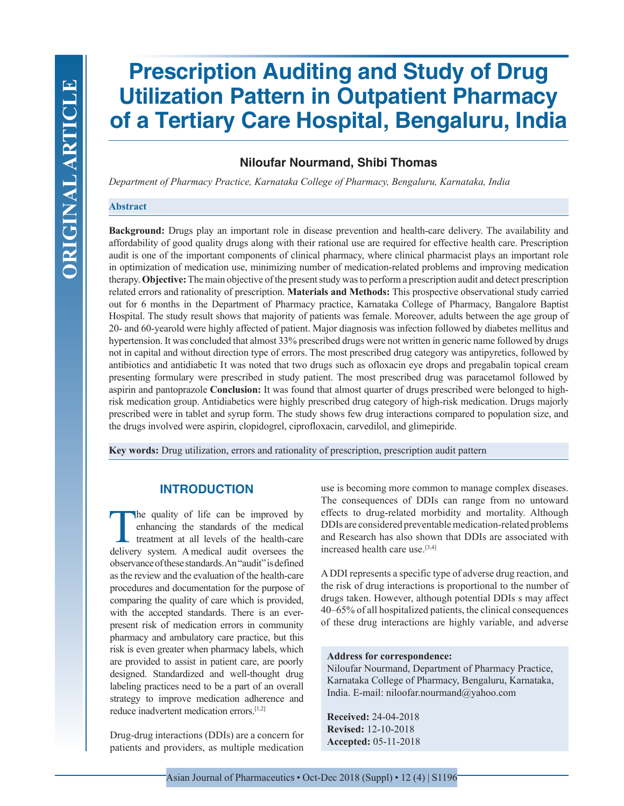# **Prescription Auditing and Study of Drug Utilization Pattern in Outpatient Pharmacy of a Tertiary Care Hospital, Bengaluru, India**

# **Niloufar Nourmand, Shibi Thomas**

*Department of Pharmacy Practice, Karnataka College of Pharmacy, Bengaluru, Karnataka, India*

#### **Abstract**

**Background:** Drugs play an important role in disease prevention and health-care delivery. The availability and affordability of good quality drugs along with their rational use are required for effective health care. Prescription audit is one of the important components of clinical pharmacy, where clinical pharmacist plays an important role in optimization of medication use, minimizing number of medication-related problems and improving medication therapy. **Objective:** The main objective of the present study was to perform a prescription audit and detect prescription related errors and rationality of prescription. **Materials and Methods:** This prospective observational study carried out for 6 months in the Department of Pharmacy practice, Karnataka College of Pharmacy, Bangalore Baptist Hospital. The study result shows that majority of patients was female. Moreover, adults between the age group of 20- and 60-yearold were highly affected of patient. Major diagnosis was infection followed by diabetes mellitus and hypertension. It was concluded that almost 33% prescribed drugs were not written in generic name followed by drugs not in capital and without direction type of errors. The most prescribed drug category was antipyretics, followed by antibiotics and antidiabetic It was noted that two drugs such as ofloxacin eye drops and pregabalin topical cream presenting formulary were prescribed in study patient. The most prescribed drug was paracetamol followed by aspirin and pantoprazole **Conclusion:** It was found that almost quarter of drugs prescribed were belonged to highrisk medication group. Antidiabetics were highly prescribed drug category of high-risk medication. Drugs majorly prescribed were in tablet and syrup form. The study shows few drug interactions compared to population size, and the drugs involved were aspirin, clopidogrel, ciprofloxacin, carvedilol, and glimepiride.

**Key words:** Drug utilization, errors and rationality of prescription, prescription audit pattern

## **INTRODUCTION**

the quality of life can be improved by enhancing the standards of the medical treatment at all levels of the health-care delivery system. Amedical audit oversees the observance of these standards. An "audit" is defined as the review and the evaluation of the health-care procedures and documentation for the purpose of comparing the quality of care which is provided, with the accepted standards. There is an everpresent risk of medication errors in community pharmacy and ambulatory care practice, but this risk is even greater when pharmacy labels, which are provided to assist in patient care, are poorly designed. Standardized and well-thought drug labeling practices need to be a part of an overall strategy to improve medication adherence and reduce inadvertent medication errors.[1,2]

Drug-drug interactions (DDIs) are a concern for patients and providers, as multiple medication use is becoming more common to manage complex diseases. The consequences of DDIs can range from no untoward effects to drug-related morbidity and mortality. Although DDIs are considered preventable medication-related problems and Research has also shown that DDIs are associated with increased health care use.<sup>[3,4]</sup>

A DDI represents a specific type of adverse drug reaction, and the risk of drug interactions is proportional to the number of drugs taken. However, although potential DDIs s may affect 40–65% of all hospitalized patients, the clinical consequences of these drug interactions are highly variable, and adverse

#### **Address for correspondence:**

Niloufar Nourmand, Department of Pharmacy Practice, Karnataka College of Pharmacy, Bengaluru, Karnataka, India. E-mail: niloofar.nourmand@yahoo.com

**Received:** 24-04-2018 **Revised:** 12-10-2018 **Accepted:** 05-11-2018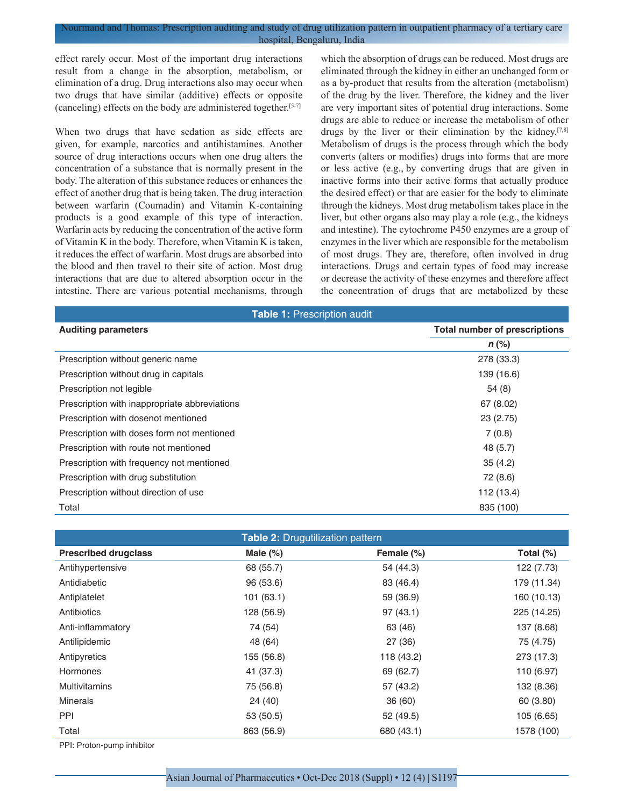effect rarely occur. Most of the important drug interactions result from a change in the absorption, metabolism, or elimination of a drug. Drug interactions also may occur when two drugs that have similar (additive) effects or opposite (canceling) effects on the body are administered together.[5-7]

When two drugs that have sedation as side effects are given, for example, narcotics and antihistamines. Another source of drug interactions occurs when one drug alters the concentration of a substance that is normally present in the body. The alteration of this substance reduces or enhances the effect of another drug that is being taken. The drug interaction between warfarin (Coumadin) and Vitamin K-containing products is a good example of this type of interaction. Warfarin acts by reducing the concentration of the active form of Vitamin K in the body. Therefore, when Vitamin K is taken, it reduces the effect of warfarin. Most drugs are absorbed into the blood and then travel to their site of action. Most drug interactions that are due to altered absorption occur in the intestine. There are various potential mechanisms, through which the absorption of drugs can be reduced. Most drugs are eliminated through the kidney in either an unchanged form or as a by-product that results from the alteration (metabolism) of the drug by the liver. Therefore, the kidney and the liver are very important sites of potential drug interactions. Some drugs are able to reduce or increase the metabolism of other drugs by the liver or their elimination by the kidney.[7,8] Metabolism of drugs is the process through which the body converts (alters or modifies) drugs into forms that are more or less active (e.g., by converting drugs that are given in inactive forms into their active forms that actually produce the desired effect) or that are easier for the body to eliminate through the kidneys. Most drug metabolism takes place in the liver, but other organs also may play a role (e.g., the kidneys and intestine). The cytochrome P450 enzymes are a group of enzymes in the liver which are responsible for the metabolism of most drugs. They are, therefore, often involved in drug interactions. Drugs and certain types of food may increase or decrease the activity of these enzymes and therefore affect the concentration of drugs that are metabolized by these

| <b>Table 1: Prescription audit</b>            |                                      |  |  |
|-----------------------------------------------|--------------------------------------|--|--|
| <b>Auditing parameters</b>                    | <b>Total number of prescriptions</b> |  |  |
|                                               | $n$ (%)                              |  |  |
| Prescription without generic name             | 278 (33.3)                           |  |  |
| Prescription without drug in capitals         | 139 (16.6)                           |  |  |
| Prescription not legible                      | 54(8)                                |  |  |
| Prescription with inappropriate abbreviations | 67 (8.02)                            |  |  |
| Prescription with dosenot mentioned           | 23(2.75)                             |  |  |
| Prescription with doses form not mentioned    | 7(0.8)                               |  |  |
| Prescription with route not mentioned         | 48 (5.7)                             |  |  |
| Prescription with frequency not mentioned     | 35(4.2)                              |  |  |
| Prescription with drug substitution           | 72 (8.6)                             |  |  |
| Prescription without direction of use         | 112 (13.4)                           |  |  |
| Total                                         | 835 (100)                            |  |  |

| <b>Table 2: Drugutilization pattern</b> |             |            |              |  |
|-----------------------------------------|-------------|------------|--------------|--|
| <b>Prescribed drugclass</b>             | Male $(\%)$ | Female (%) | Total $(\%)$ |  |
| Antihypertensive                        | 68 (55.7)   | 54 (44.3)  | 122 (7.73)   |  |
| Antidiabetic                            | 96 (53.6)   | 83 (46.4)  | 179 (11.34)  |  |
| Antiplatelet                            | 101(63.1)   | 59 (36.9)  | 160 (10.13)  |  |
| Antibiotics                             | 128 (56.9)  | 97(43.1)   | 225 (14.25)  |  |
| Anti-inflammatory                       | 74 (54)     | 63 (46)    | 137 (8.68)   |  |
| Antilipidemic                           | 48 (64)     | 27 (36)    | 75 (4.75)    |  |
| Antipyretics                            | 155 (56.8)  | 118 (43.2) | 273 (17.3)   |  |
| Hormones                                | 41 (37.3)   | 69 (62.7)  | 110 (6.97)   |  |
| <b>Multivitamins</b>                    | 75 (56.8)   | 57 (43.2)  | 132 (8.36)   |  |
| <b>Minerals</b>                         | 24 (40)     | 36 (60)    | 60 (3.80)    |  |
| <b>PPI</b>                              | 53 (50.5)   | 52 (49.5)  | 105 (6.65)   |  |
| Total                                   | 863 (56.9)  | 680 (43.1) | 1578 (100)   |  |

PPI: Proton-pump inhibitor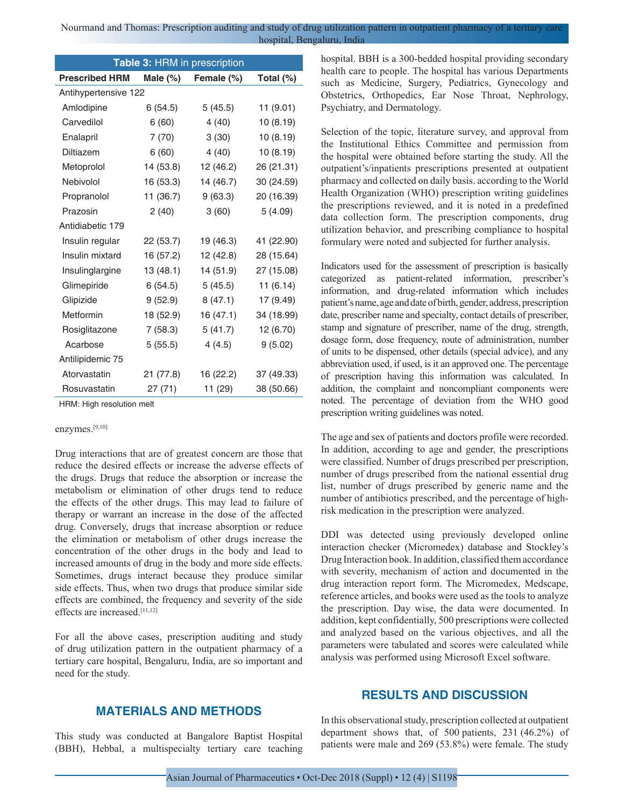| Table 3: HRM in prescription |             |            |            |  |
|------------------------------|-------------|------------|------------|--|
| <b>Prescribed HRM</b>        | Male $(\%)$ | Female (%) | Total (%)  |  |
| Antihypertensive 122         |             |            |            |  |
| Amlodipine                   | 6(54.5)     | 5(45.5)    | 11(9.01)   |  |
| Carvedilol                   | 6(60)       | 4(40)      | 10(8.19)   |  |
| Enalapril                    | 7(70)       | 3(30)      | 10(8.19)   |  |
| <b>Diltiazem</b>             | 6(60)       | 4 (40)     | 10(8.19)   |  |
| Metoprolol                   | 14(53.8)    | 12 (46.2)  | 26 (21.31) |  |
| Nebivolol                    | 16 (53.3)   | 14 (46.7)  | 30 (24.59) |  |
| Propranolol                  | 11 (36.7)   | 9(63.3)    | 20 (16.39) |  |
| Prazosin                     | 2(40)       | 3(60)      | 5(4.09)    |  |
| Antidiabetic 179             |             |            |            |  |
| Insulin regular              | 22 (53.7)   | 19 (46.3)  | 41 (22.90) |  |
| Insulin mixtard              | 16 (57.2)   | 12 (42.8)  | 28 (15.64) |  |
| Insulinglargine              | 13(48.1)    | 14 (51.9)  | 27 (15.08) |  |
| Glimepiride                  | 6(54.5)     | 5(45.5)    | 11(6.14)   |  |
| Glipizide                    | 9(52.9)     | 8(47.1)    | 17 (9.49)  |  |
| Metformin                    | 18 (52.9)   | 16 (47.1)  | 34 (18.99) |  |
| Rosiglitazone                | 7(58.3)     | 5(41.7)    | 12 (6.70)  |  |
| Acarbose                     | 5(55.5)     | 4(4.5)     | 9(5.02)    |  |
| Antilipidemic 75             |             |            |            |  |
| Atorvastatin                 | 21 (77.8)   | 16 (22.2)  | 37 (49.33) |  |
| Rosuvastatin                 | 27 (71)     | 11 (29)    | 38 (50.66) |  |

HRM: High resolution melt

## enzymes.[9,10]

Drug interactions that are of greatest concern are those that reduce the desired effects or increase the adverse effects of the drugs. Drugs that reduce the absorption or increase the metabolism or elimination of other drugs tend to reduce the effects of the other drugs. This may lead to failure of therapy or warrant an increase in the dose of the affected drug. Conversely, drugs that increase absorption or reduce the elimination or metabolism of other drugs increase the concentration of the other drugs in the body and lead to increased amounts of drug in the body and more side effects. Sometimes, drugs interact because they produce similar side effects. Thus, when two drugs that produce similar side effects are combined, the frequency and severity of the side effects are increased.[11,12]

For all the above cases, prescription auditing and study of drug utilization pattern in the outpatient pharmacy of a tertiary care hospital, Bengaluru, India, are so important and need for the study.

# **MATERIALS AND METHODS**

This study was conducted at Bangalore Baptist Hospital (BBH), Hebbal, a multispecialty tertiary care teaching hospital. BBH is a 300-bedded hospital providing secondary health care to people. The hospital has various Departments such as Medicine, Surgery, Pediatrics, Gynecology and Obstetrics, Orthopedics, Ear Nose Throat, Nephrology, Psychiatry, and Dermatology.

Selection of the topic, literature survey, and approval from the Institutional Ethics Committee and permission from the hospital were obtained before starting the study. All the outpatient's/inpatients prescriptions presented at outpatient pharmacy and collected on daily basis. according to the World Health Organization (WHO) prescription writing guidelines the prescriptions reviewed, and it is noted in a predefined data collection form. The prescription components, drug utilization behavior, and prescribing compliance to hospital formulary were noted and subjected for further analysis.

Indicators used for the assessment of prescription is basically categorized as patient-related information, prescriber's information, and drug-related information which includes patient's name, age and date of birth, gender, address, prescription date, prescriber name and specialty, contact details of prescriber, stamp and signature of prescriber, name of the drug, strength, dosage form, dose frequency, route of administration, number of units to be dispensed, other details (special advice), and any abbreviation used, if used, is it an approved one. The percentage of prescription having this information was calculated. In addition, the complaint and noncompliant components were noted. The percentage of deviation from the WHO good prescription writing guidelines was noted.

The age and sex of patients and doctors profile were recorded. In addition, according to age and gender, the prescriptions were classified. Number of drugs prescribed per prescription, number of drugs prescribed from the national essential drug list, number of drugs prescribed by generic name and the number of antibiotics prescribed, and the percentage of highrisk medication in the prescription were analyzed.

DDI was detected using previously developed online interaction checker (Micromedex) database and Stockley's Drug Interaction book. In addition, classified them accordance with severity, mechanism of action and documented in the drug interaction report form. The Micromedex, Medscape, reference articles, and books were used as the tools to analyze the prescription. Day wise, the data were documented. In addition, kept confidentially, 500 prescriptions were collected and analyzed based on the various objectives, and all the parameters were tabulated and scores were calculated while analysis was performed using Microsoft Excel software.

# **RESULTS AND DISCUSSION**

In this observational study, prescription collected at outpatient department shows that, of 500 patients, 231 (46.2%) of patients were male and 269 (53.8%) were female. The study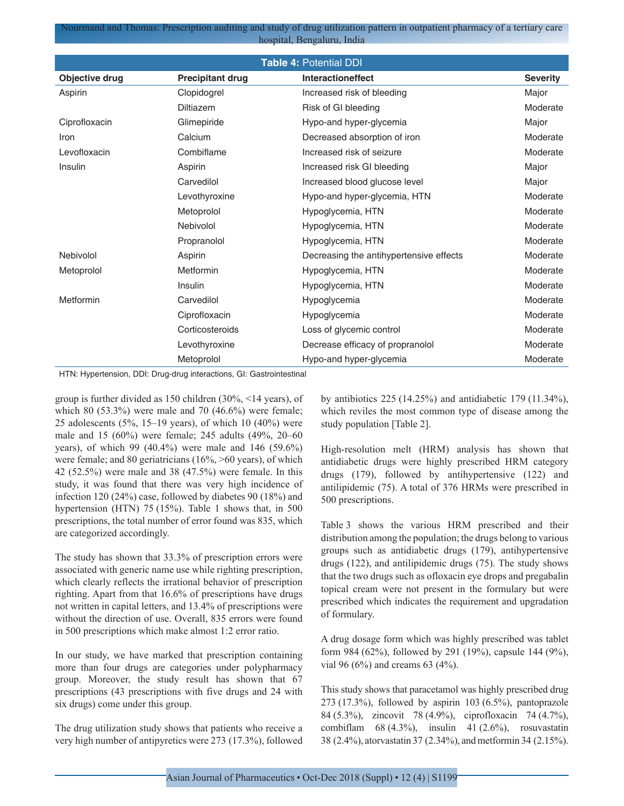| <b>Table 4: Potential DDI</b> |                         |                                         |                 |  |
|-------------------------------|-------------------------|-----------------------------------------|-----------------|--|
| Objective drug                | <b>Precipitant drug</b> | <b>Interactioneffect</b>                | <b>Severity</b> |  |
| Aspirin                       | Clopidogrel             | Increased risk of bleeding              | Major           |  |
|                               | <b>Diltiazem</b>        | Risk of GI bleeding                     | Moderate        |  |
| Ciprofloxacin                 | Glimepiride             | Hypo-and hyper-glycemia                 | Major           |  |
| Iron                          | Calcium                 | Decreased absorption of iron            | Moderate        |  |
| Levofloxacin                  | Combiflame              | Increased risk of seizure               | Moderate        |  |
| Insulin                       | Aspirin                 | Increased risk GI bleeding              | Major           |  |
|                               | Carvedilol              | Increased blood glucose level           | Major           |  |
|                               | Levothyroxine           | Hypo-and hyper-glycemia, HTN            | Moderate        |  |
|                               | Metoprolol              | Hypoglycemia, HTN                       | Moderate        |  |
|                               | Nebivolol               | Hypoglycemia, HTN                       | Moderate        |  |
|                               | Propranolol             | Hypoglycemia, HTN                       | Moderate        |  |
| Nebivolol                     | Aspirin                 | Decreasing the antihypertensive effects | Moderate        |  |
| Metoprolol                    | Metformin               | Hypoglycemia, HTN                       | Moderate        |  |
|                               | Insulin                 | Hypoglycemia, HTN                       | Moderate        |  |
| Metformin                     | Carvedilol              | Hypoglycemia                            | Moderate        |  |
|                               | Ciprofloxacin           | Hypoglycemia                            | Moderate        |  |
|                               | Corticosteroids         | Loss of glycemic control                | Moderate        |  |
|                               | Levothyroxine           | Decrease efficacy of propranolol        | Moderate        |  |
|                               | Metoprolol              | Hypo-and hyper-glycemia                 | Moderate        |  |

HTN: Hypertension, DDI: Drug-drug interactions, GI: Gastrointestinal

group is further divided as 150 children (30%, <14 years), of which 80 (53.3%) were male and 70 (46.6%) were female; 25 adolescents (5%, 15–19 years), of which 10 (40%) were male and 15 (60%) were female; 245 adults (49%, 20–60 years), of which 99 (40.4%) were male and 146 (59.6%) were female; and 80 geriatricians (16%, >60 years), of which 42 (52.5%) were male and 38 (47.5%) were female. In this study, it was found that there was very high incidence of infection 120 (24%) case, followed by diabetes 90 (18%) and hypertension (HTN) 75 (15%). Table 1 shows that, in 500 prescriptions, the total number of error found was 835, which are categorized accordingly.

The study has shown that 33.3% of prescription errors were associated with generic name use while righting prescription, which clearly reflects the irrational behavior of prescription righting. Apart from that 16.6% of prescriptions have drugs not written in capital letters, and 13.4% of prescriptions were without the direction of use. Overall, 835 errors were found in 500 prescriptions which make almost 1:2 error ratio.

In our study, we have marked that prescription containing more than four drugs are categories under polypharmacy group. Moreover, the study result has shown that 67 prescriptions (43 prescriptions with five drugs and 24 with six drugs) come under this group.

The drug utilization study shows that patients who receive a very high number of antipyretics were 273 (17.3%), followed by antibiotics 225 (14.25%) and antidiabetic 179 (11.34%), which reviles the most common type of disease among the study population [Table 2].

High-resolution melt (HRM) analysis has shown that antidiabetic drugs were highly prescribed HRM category drugs (179), followed by antihypertensive (122) and antilipidemic (75). A total of 376 HRMs were prescribed in 500 prescriptions.

Table 3 shows the various HRM prescribed and their distribution among the population; the drugs belong to various groups such as antidiabetic drugs (179), antihypertensive drugs (122), and antilipidemic drugs (75). The study shows that the two drugs such as ofloxacin eye drops and pregabalin topical cream were not present in the formulary but were prescribed which indicates the requirement and upgradation of formulary.

A drug dosage form which was highly prescribed was tablet form 984 (62%), followed by 291 (19%), capsule 144 (9%), vial 96 (6%) and creams 63 (4%).

This study shows that paracetamol was highly prescribed drug 273 (17.3%), followed by aspirin 103 (6.5%), pantoprazole 84 (5.3%), zincovit 78 (4.9%), ciprofloxacin 74 (4.7%), combiflam  $68 (4.3\%)$ , insulin  $41 (2.6\%)$ , rosuvastatin 38 (2.4%), atorvastatin 37 (2.34%), and metformin 34 (2.15%).